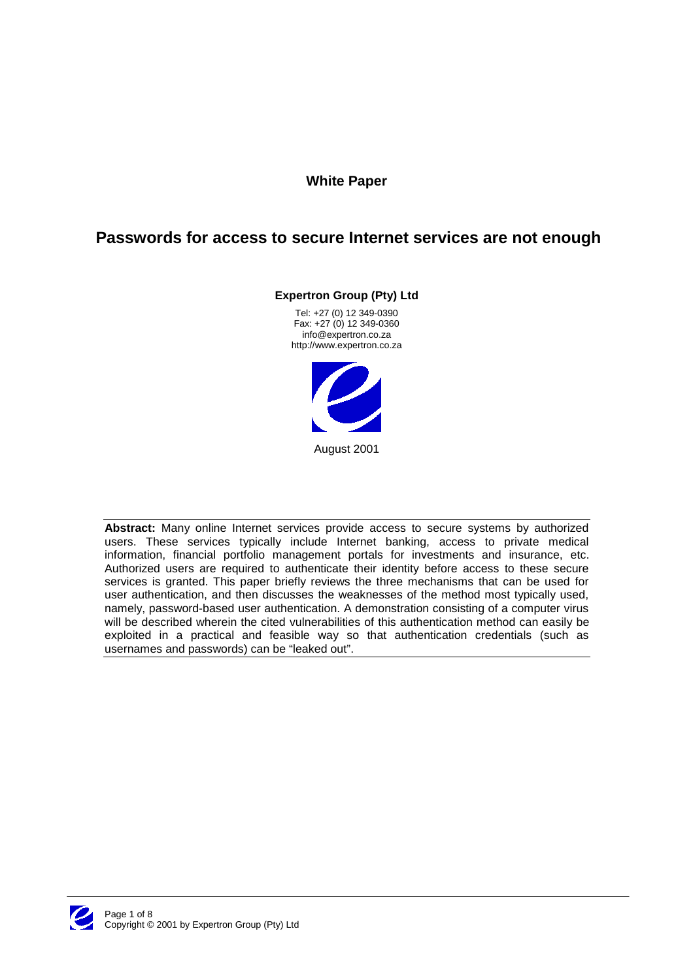### **White Paper**

# **Passwords for access to secure Internet services are not enough**

**Expertron Group (Pty) Ltd**

Tel: +27 (0) 12 349-0390 Fax: +27 (0) 12 349-0360 info@expertron.co.za http://www.expertron.co.za



**Abstract:** Many online Internet services provide access to secure systems by authorized users. These services typically include Internet banking, access to private medical information, financial portfolio management portals for investments and insurance, etc. Authorized users are required to authenticate their identity before access to these secure services is granted. This paper briefly reviews the three mechanisms that can be used for user authentication, and then discusses the weaknesses of the method most typically used, namely, password-based user authentication. A demonstration consisting of a computer virus will be described wherein the cited vulnerabilities of this authentication method can easily be exploited in a practical and feasible way so that authentication credentials (such as usernames and passwords) can be "leaked out".

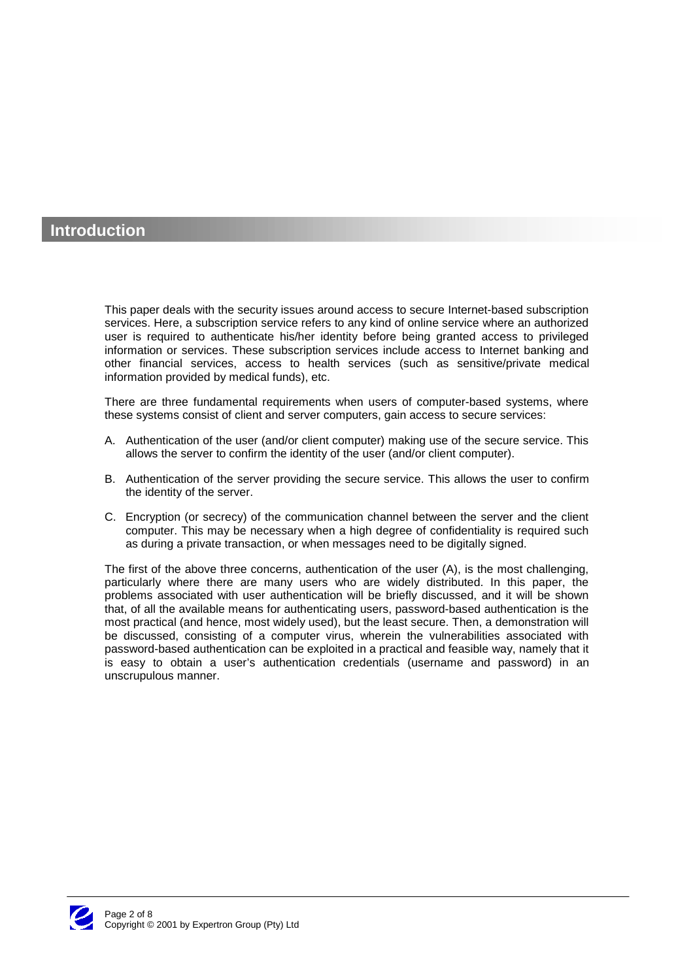### **Introduction**

This paper deals with the security issues around access to secure Internet-based subscription services. Here, a subscription service refers to any kind of online service where an authorized user is required to authenticate his/her identity before being granted access to privileged information or services. These subscription services include access to Internet banking and other financial services, access to health services (such as sensitive/private medical information provided by medical funds), etc.

There are three fundamental requirements when users of computer-based systems, where these systems consist of client and server computers, gain access to secure services:

- A. Authentication of the user (and/or client computer) making use of the secure service. This allows the server to confirm the identity of the user (and/or client computer).
- B. Authentication of the server providing the secure service. This allows the user to confirm the identity of the server.
- C. Encryption (or secrecy) of the communication channel between the server and the client computer. This may be necessary when a high degree of confidentiality is required such as during a private transaction, or when messages need to be digitally signed.

The first of the above three concerns, authentication of the user (A), is the most challenging, particularly where there are many users who are widely distributed. In this paper, the problems associated with user authentication will be briefly discussed, and it will be shown that, of all the available means for authenticating users, password-based authentication is the most practical (and hence, most widely used), but the least secure. Then, a demonstration will be discussed, consisting of a computer virus, wherein the vulnerabilities associated with password-based authentication can be exploited in a practical and feasible way, namely that it is easy to obtain a user's authentication credentials (username and password) in an unscrupulous manner.

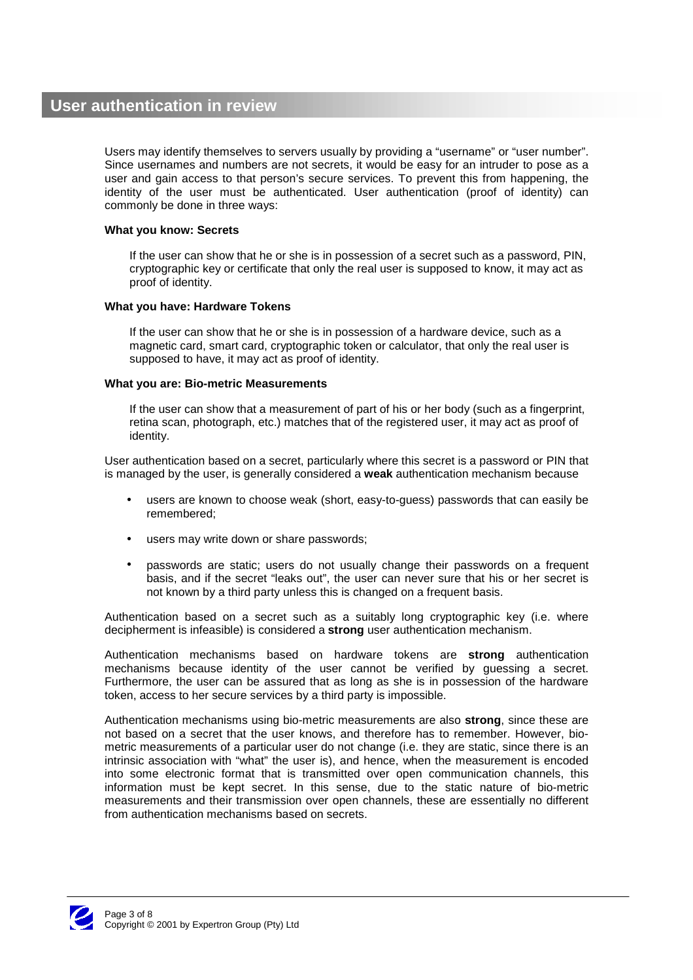Users may identify themselves to servers usually by providing a "username" or "user number". Since usernames and numbers are not secrets, it would be easy for an intruder to pose as a user and gain access to that person's secure services. To prevent this from happening, the identity of the user must be authenticated. User authentication (proof of identity) can commonly be done in three ways:

#### **What you know: Secrets**

If the user can show that he or she is in possession of a secret such as a password, PIN, cryptographic key or certificate that only the real user is supposed to know, it may act as proof of identity.

#### **What you have: Hardware Tokens**

If the user can show that he or she is in possession of a hardware device, such as a magnetic card, smart card, cryptographic token or calculator, that only the real user is supposed to have, it may act as proof of identity.

#### **What you are: Bio-metric Measurements**

If the user can show that a measurement of part of his or her body (such as a fingerprint, retina scan, photograph, etc.) matches that of the registered user, it may act as proof of identity.

User authentication based on a secret, particularly where this secret is a password or PIN that is managed by the user, is generally considered a **weak** authentication mechanism because

- users are known to choose weak (short, easy-to-guess) passwords that can easily be remembered;
- users may write down or share passwords:
- passwords are static; users do not usually change their passwords on a frequent basis, and if the secret "leaks out", the user can never sure that his or her secret is not known by a third party unless this is changed on a frequent basis.

Authentication based on a secret such as a suitably long cryptographic key (i.e. where decipherment is infeasible) is considered a **strong** user authentication mechanism.

Authentication mechanisms based on hardware tokens are **strong** authentication mechanisms because identity of the user cannot be verified by guessing a secret. Furthermore, the user can be assured that as long as she is in possession of the hardware token, access to her secure services by a third party is impossible.

Authentication mechanisms using bio-metric measurements are also **strong**, since these are not based on a secret that the user knows, and therefore has to remember. However, biometric measurements of a particular user do not change (i.e. they are static, since there is an intrinsic association with "what" the user is), and hence, when the measurement is encoded into some electronic format that is transmitted over open communication channels, this information must be kept secret. In this sense, due to the static nature of bio-metric measurements and their transmission over open channels, these are essentially no different from authentication mechanisms based on secrets.

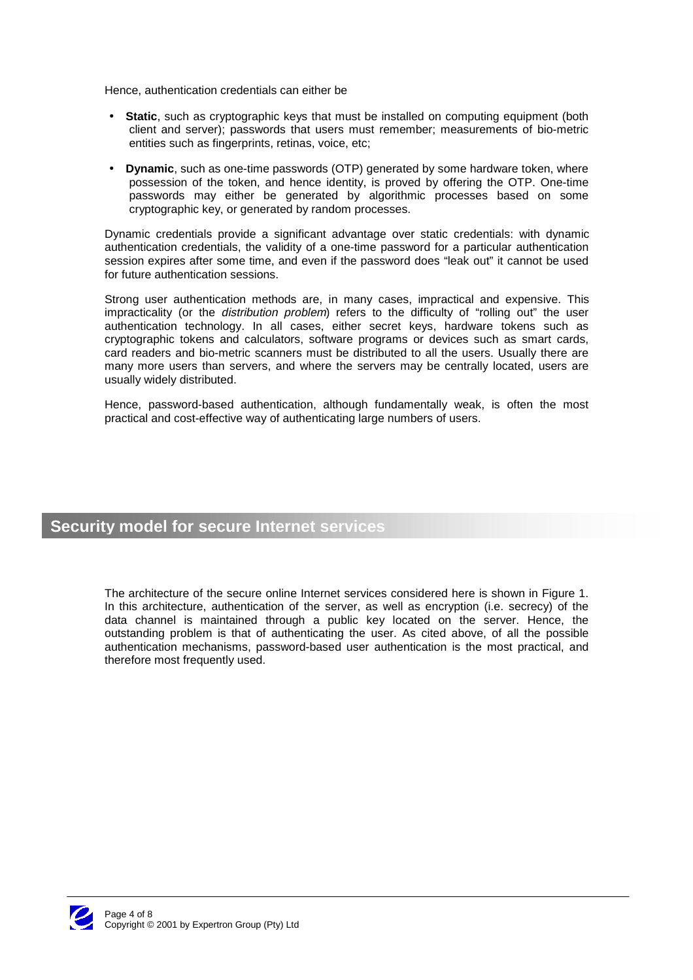Hence, authentication credentials can either be

- **Static**, such as cryptographic keys that must be installed on computing equipment (both client and server); passwords that users must remember; measurements of bio-metric entities such as fingerprints, retinas, voice, etc;
- **Dynamic**, such as one-time passwords (OTP) generated by some hardware token, where possession of the token, and hence identity, is proved by offering the OTP. One-time passwords may either be generated by algorithmic processes based on some cryptographic key, or generated by random processes.

Dynamic credentials provide a significant advantage over static credentials: with dynamic authentication credentials, the validity of a one-time password for a particular authentication session expires after some time, and even if the password does "leak out" it cannot be used for future authentication sessions.

Strong user authentication methods are, in many cases, impractical and expensive. This impracticality (or the *distribution problem*) refers to the difficulty of "rolling out" the user authentication technology. In all cases, either secret keys, hardware tokens such as cryptographic tokens and calculators, software programs or devices such as smart cards, card readers and bio-metric scanners must be distributed to all the users. Usually there are many more users than servers, and where the servers may be centrally located, users are usually widely distributed.

Hence, password-based authentication, although fundamentally weak, is often the most practical and cost-effective way of authenticating large numbers of users.

## **Security model for secure Internet services**

The architecture of the secure online Internet services considered here is shown in Figure 1. In this architecture, authentication of the server, as well as encryption (i.e. secrecy) of the data channel is maintained through a public key located on the server. Hence, the outstanding problem is that of authenticating the user. As cited above, of all the possible authentication mechanisms, password-based user authentication is the most practical, and therefore most frequently used.

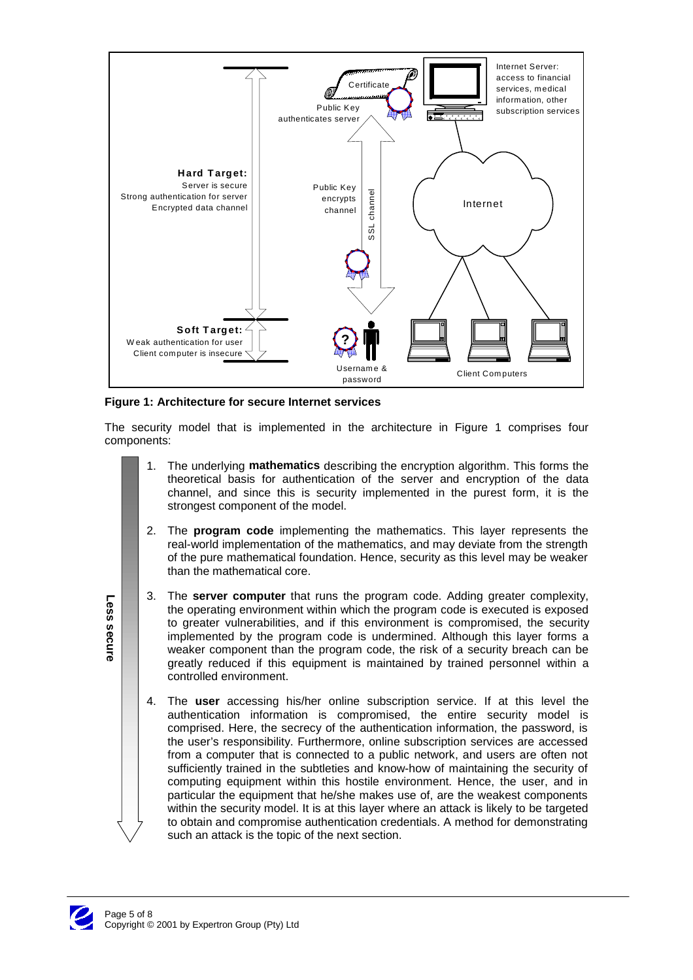

#### **Figure 1: Architecture for secure Internet services**

The security model that is implemented in the architecture in Figure 1 comprises four components:

- 1. The underlying **mathematics** describing the encryption algorithm. This forms the theoretical basis for authentication of the server and encryption of the data channel, and since this is security implemented in the purest form, it is the strongest component of the model.
- 2. The **program code** implementing the mathematics. This layer represents the real-world implementation of the mathematics, and may deviate from the strength of the pure mathematical foundation. Hence, security as this level may be weaker than the mathematical core.
- 3. The **server computer** that runs the program code. Adding greater complexity, the operating environment within which the program code is executed is exposed to greater vulnerabilities, and if this environment is compromised, the security implemented by the program code is undermined. Although this layer forms a weaker component than the program code, the risk of a security breach can be greatly reduced if this equipment is maintained by trained personnel within a controlled environment.
- 4. The **user** accessing his/her online subscription service. If at this level the authentication information is compromised, the entire security model is comprised. Here, the secrecy of the authentication information, the password, is the user's responsibility. Furthermore, online subscription services are accessed from a computer that is connected to a public network, and users are often not sufficiently trained in the subtleties and know-how of maintaining the security of computing equipment within this hostile environment. Hence, the user, and in particular the equipment that he/she makes use of, are the weakest components within the security model. It is at this layer where an attack is likely to be targeted to obtain and compromise authentication credentials. A method for demonstrating such an attack is the topic of the next section.



**Less secure**

Less secure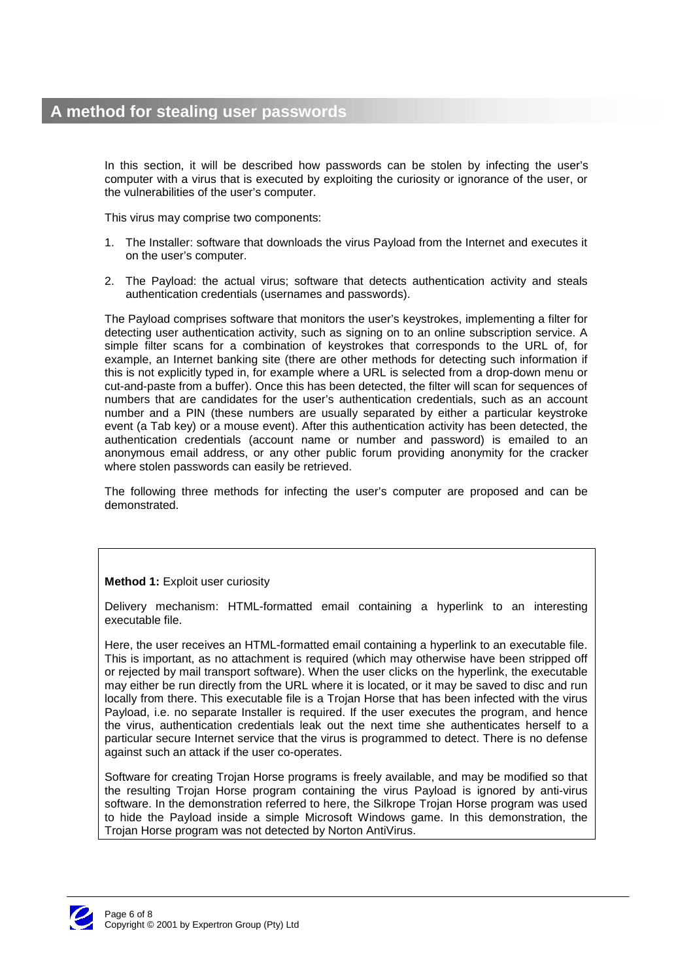# **A method for stealing user passwords**

In this section, it will be described how passwords can be stolen by infecting the user's computer with a virus that is executed by exploiting the curiosity or ignorance of the user, or the vulnerabilities of the user's computer.

This virus may comprise two components:

- 1. The Installer: software that downloads the virus Payload from the Internet and executes it on the user's computer.
- 2. The Payload: the actual virus; software that detects authentication activity and steals authentication credentials (usernames and passwords).

The Payload comprises software that monitors the user's keystrokes, implementing a filter for detecting user authentication activity, such as signing on to an online subscription service. A simple filter scans for a combination of keystrokes that corresponds to the URL of, for example, an Internet banking site (there are other methods for detecting such information if this is not explicitly typed in, for example where a URL is selected from a drop-down menu or cut-and-paste from a buffer). Once this has been detected, the filter will scan for sequences of numbers that are candidates for the user's authentication credentials, such as an account number and a PIN (these numbers are usually separated by either a particular keystroke event (a Tab key) or a mouse event). After this authentication activity has been detected, the authentication credentials (account name or number and password) is emailed to an anonymous email address, or any other public forum providing anonymity for the cracker where stolen passwords can easily be retrieved.

The following three methods for infecting the user's computer are proposed and can be demonstrated.

### **Method 1:** Exploit user curiosity

Delivery mechanism: HTML-formatted email containing a hyperlink to an interesting executable file.

Here, the user receives an HTML-formatted email containing a hyperlink to an executable file. This is important, as no attachment is required (which may otherwise have been stripped off or rejected by mail transport software). When the user clicks on the hyperlink, the executable may either be run directly from the URL where it is located, or it may be saved to disc and run locally from there. This executable file is a Trojan Horse that has been infected with the virus Payload, i.e. no separate Installer is required. If the user executes the program, and hence the virus, authentication credentials leak out the next time she authenticates herself to a particular secure Internet service that the virus is programmed to detect. There is no defense against such an attack if the user co-operates.

Software for creating Trojan Horse programs is freely available, and may be modified so that the resulting Trojan Horse program containing the virus Payload is ignored by anti-virus software. In the demonstration referred to here, the Silkrope Trojan Horse program was used to hide the Payload inside a simple Microsoft Windows game. In this demonstration, the Trojan Horse program was not detected by Norton AntiVirus.

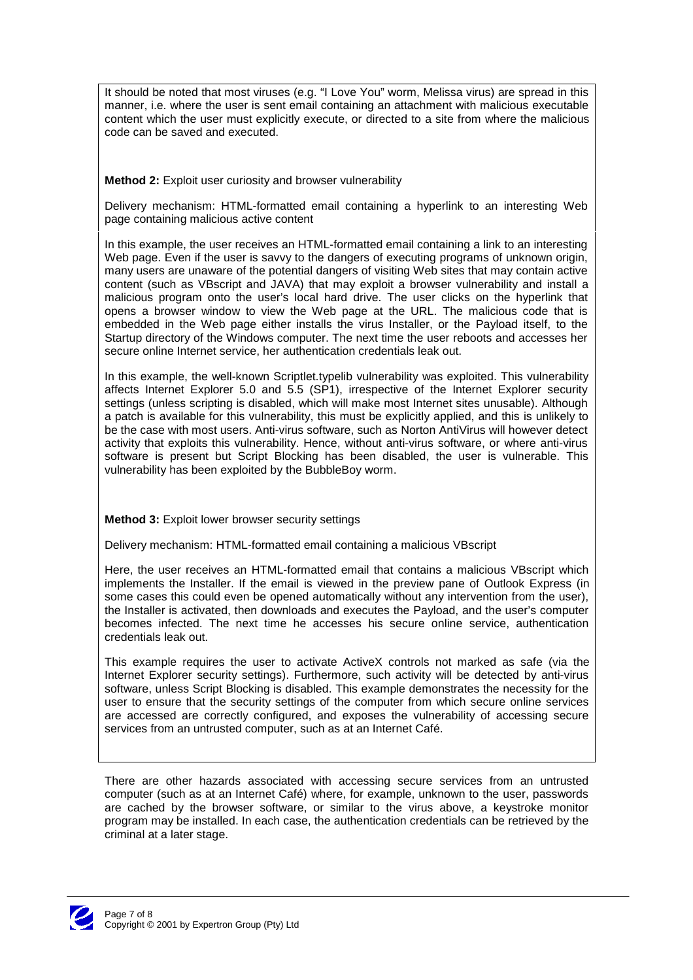It should be noted that most viruses (e.g. "I Love You" worm, Melissa virus) are spread in this manner, i.e. where the user is sent email containing an attachment with malicious executable content which the user must explicitly execute, or directed to a site from where the malicious code can be saved and executed.

### **Method 2:** Exploit user curiosity and browser vulnerability

Delivery mechanism: HTML-formatted email containing a hyperlink to an interesting Web page containing malicious active content

In this example, the user receives an HTML-formatted email containing a link to an interesting Web page. Even if the user is savvy to the dangers of executing programs of unknown origin, many users are unaware of the potential dangers of visiting Web sites that may contain active content (such as VBscript and JAVA) that may exploit a browser vulnerability and install a malicious program onto the user's local hard drive. The user clicks on the hyperlink that opens a browser window to view the Web page at the URL. The malicious code that is embedded in the Web page either installs the virus Installer, or the Payload itself, to the Startup directory of the Windows computer. The next time the user reboots and accesses her secure online Internet service, her authentication credentials leak out.

In this example, the well-known Scriptlet.typelib vulnerability was exploited. This vulnerability affects Internet Explorer 5.0 and 5.5 (SP1), irrespective of the Internet Explorer security settings (unless scripting is disabled, which will make most Internet sites unusable). Although a patch is available for this vulnerability, this must be explicitly applied, and this is unlikely to be the case with most users. Anti-virus software, such as Norton AntiVirus will however detect activity that exploits this vulnerability. Hence, without anti-virus software, or where anti-virus software is present but Script Blocking has been disabled, the user is vulnerable. This vulnerability has been exploited by the BubbleBoy worm.

**Method 3:** Exploit lower browser security settings

Delivery mechanism: HTML-formatted email containing a malicious VBscript

Here, the user receives an HTML-formatted email that contains a malicious VBscript which implements the Installer. If the email is viewed in the preview pane of Outlook Express (in some cases this could even be opened automatically without any intervention from the user), the Installer is activated, then downloads and executes the Payload, and the user's computer becomes infected. The next time he accesses his secure online service, authentication credentials leak out.

This example requires the user to activate ActiveX controls not marked as safe (via the Internet Explorer security settings). Furthermore, such activity will be detected by anti-virus software, unless Script Blocking is disabled. This example demonstrates the necessity for the user to ensure that the security settings of the computer from which secure online services are accessed are correctly configured, and exposes the vulnerability of accessing secure services from an untrusted computer, such as at an Internet Café.

There are other hazards associated with accessing secure services from an untrusted computer (such as at an Internet Café) where, for example, unknown to the user, passwords are cached by the browser software, or similar to the virus above, a keystroke monitor program may be installed. In each case, the authentication credentials can be retrieved by the criminal at a later stage.